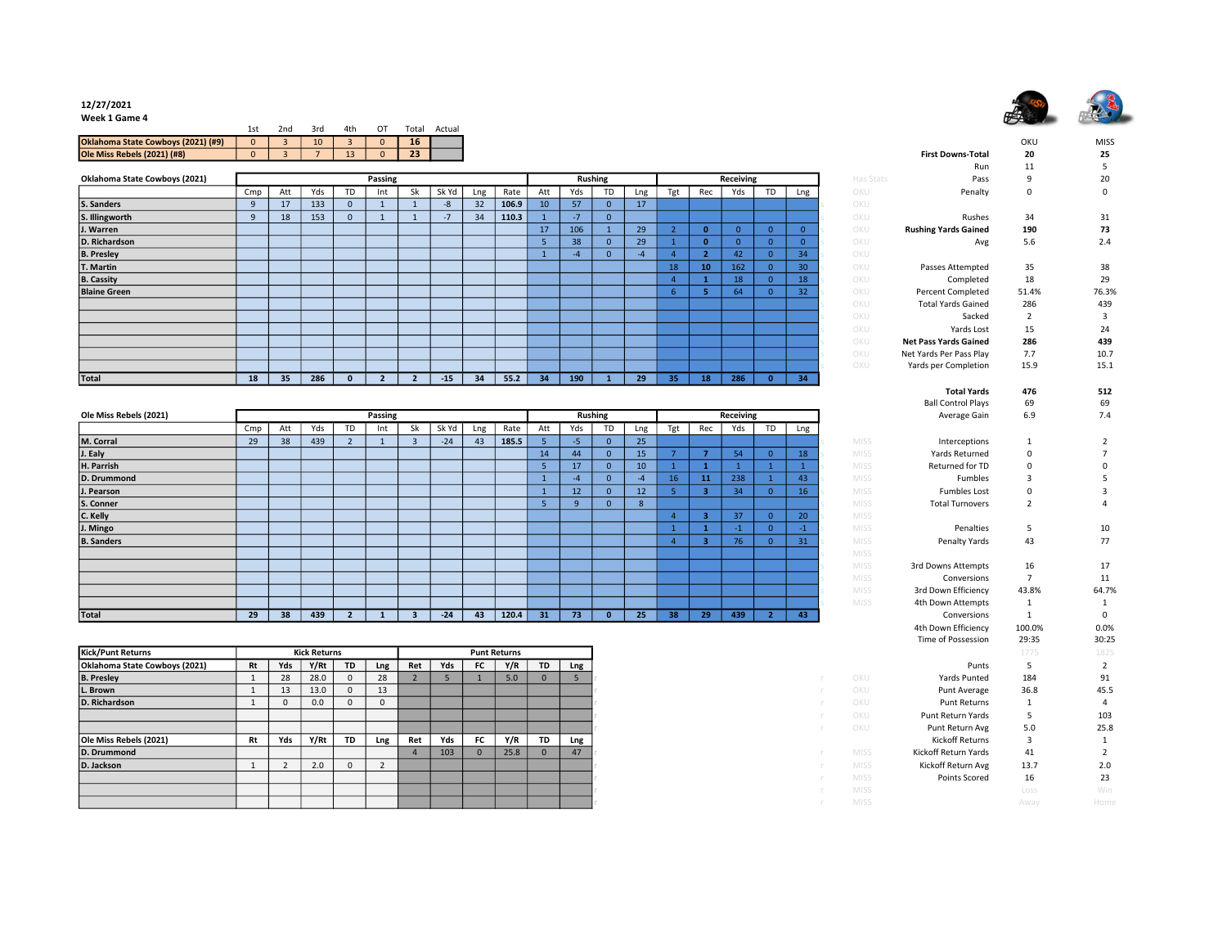## 安等 5

## 12/27/2021

Week 1 Game 4

|                                    | 1 ct<br>ᅩᇰ | 2nd | 3rd | 4th | $\Omega$ | Total     | Actual |
|------------------------------------|------------|-----|-----|-----|----------|-----------|--------|
| Oklahoma State Cowboys (2021) (#9) | $\Omega$   |     | 10  |     |          | <b>16</b> |        |
| <b>Ole Miss Rebels (2021) (#8)</b> |            |     |     | --  |          | 23        |        |

| Oklahoma State Cowboys (2021) |              |                 |     |             | Passing |    |       |     |       |                 |      | <b>Rushing</b> |      |     |                 | Receiving |          |     | Has Stats | Pass                         | q      | 20          |
|-------------------------------|--------------|-----------------|-----|-------------|---------|----|-------|-----|-------|-----------------|------|----------------|------|-----|-----------------|-----------|----------|-----|-----------|------------------------------|--------|-------------|
|                               | Cmp          | Att             | Yds |             | Int     | Sk | Sk Yd | Lng | Rate  | Att             | Yds  | TD             | Lng  | Tgt | Rec             | Yds       | TD       | Lng | OKU       | Penalty                      | 0      | $\mathbf 0$ |
| S. Sanders                    |              | 17              | 133 | $\mathbf 0$ |         |    | $-8$  | 32  | 106.9 | 10 <sup>°</sup> | 57   | $\mathbf{0}$   | 17   |     |                 |           |          |     | OKU       |                              |        |             |
| S. Illingworth                | $\mathbf{q}$ | 18              | 153 | $\Omega$    |         |    | $-7$  | 34  | 110.3 |                 | $-7$ | $\Omega$       |      |     |                 |           |          |     | OKU       | Rushes                       | 34     | 31          |
| J. Warren                     |              |                 |     |             |         |    |       |     |       | 17              | 106  |                | 29   |     |                 |           |          |     | OKU       | <b>Rushing Yards Gained</b>  | 190    | 73          |
| D. Richardson                 |              |                 |     |             |         |    |       |     |       |                 | 38   | $\mathbf{0}$   | 29   |     | $\mathbf{a}$    |           |          |     | OKU       | Avg                          | 5.6    | 2.4         |
| <b>B. Presley</b>             |              |                 |     |             |         |    |       |     |       |                 |      | $\Omega$       | $-4$ |     |                 | 42        |          | 34  | OKU       |                              |        |             |
| T. Martin                     |              |                 |     |             |         |    |       |     |       |                 |      |                |      | 18  | 10 <sub>1</sub> | 162       |          | 30  | OKU       | Passes Attempted             | 35     | 38          |
| <b>B. Cassity</b>             |              |                 |     |             |         |    |       |     |       |                 |      |                |      |     |                 | 18        |          | 18  | OKU       | Completed                    | 18     | 29          |
| <b>Blaine Green</b>           |              |                 |     |             |         |    |       |     |       |                 |      |                |      | 6.  |                 | 64        |          | 32  | OKU       | <b>Percent Completed</b>     | 51.4%  | 76.3%       |
|                               |              |                 |     |             |         |    |       |     |       |                 |      |                |      |     |                 |           |          |     | OKU       | <b>Total Yards Gained</b>    | 286    | 439         |
|                               |              |                 |     |             |         |    |       |     |       |                 |      |                |      |     |                 |           |          |     | OKU       | Sacked                       | $\sim$ |             |
|                               |              |                 |     |             |         |    |       |     |       |                 |      |                |      |     |                 |           |          |     | OKU       | Yards Lost                   | 15     | 24          |
|                               |              |                 |     |             |         |    |       |     |       |                 |      |                |      |     |                 |           |          |     | OKU       | <b>Net Pass Yards Gained</b> | 286    | 439         |
|                               |              |                 |     |             |         |    |       |     |       |                 |      |                |      |     |                 |           |          |     | OKU       | Net Yards Per Pass Play      | 7.7    | 10.7        |
|                               |              |                 |     |             |         |    |       |     |       |                 |      |                |      |     |                 |           |          |     | OKU       | Yards per Completion         | 15.9   | 15.1        |
| Total                         | 18           | 35 <sub>2</sub> | 286 |             |         |    | $-15$ | 34  | 55.2  | 34              | 190  |                | 29   | 35  | 18              | 286       | $\Omega$ | 34  |           |                              |        |             |

| Ole Miss Rebels (2021) |     |     |     |    | Passing |        |       |     |       |     |                 | <b>Rushing</b> |     |     |     | Receiving |    |                 |             | Average Gain           | 6.9      | 7.4   |
|------------------------|-----|-----|-----|----|---------|--------|-------|-----|-------|-----|-----------------|----------------|-----|-----|-----|-----------|----|-----------------|-------------|------------------------|----------|-------|
|                        | Cmp | Att | Yds | TD | Int     | Sk     | Sk Yd | Lng | Rate  | Att | Yds             | TD             | Lng | Tgt | Rec | Yds       | TD | Lng             |             |                        |          |       |
| M. Corral              | 29  | 38  | 439 |    |         | $\sim$ | $-24$ | 43  | 185.5 |     | $-5$            | $\Omega$       | 25  |     |     |           |    |                 | <b>MISS</b> | Interceptions          |          |       |
| J. Ealy                |     |     |     |    |         |        |       |     |       | 14  | 44              | $\Omega$       | 15  |     |     | 54        |    | 18 <sup>1</sup> | <b>MISS</b> | Yards Returned         | $\Omega$ |       |
| H. Parrish             |     |     |     |    |         |        |       |     |       |     | 17              | $\Omega$       | 10  |     |     |           |    |                 | <b>MISS</b> | Returned for TD        | $\Omega$ |       |
| D. Drummond            |     |     |     |    |         |        |       |     |       |     | -4              | $\Omega$       |     | 16  | 11  | 238       |    | 43              | <b>MISS</b> | Fumbles                |          |       |
| J. Pearson             |     |     |     |    |         |        |       |     |       |     | 12 <sup>2</sup> | $\mathbf{0}$   | 12  |     | з   | 34        |    | 16              | <b>MISS</b> | <b>Fumbles Lost</b>    | $\Omega$ |       |
| S. Conner              |     |     |     |    |         |        |       |     |       |     |                 | $\Omega$       | -8  |     |     |           |    |                 | <b>MISS</b> | <b>Total Turnovers</b> |          |       |
| C. Kelly               |     |     |     |    |         |        |       |     |       |     |                 |                |     |     | R   | 37        |    | 20              | <b>MISS</b> |                        |          |       |
| J. Mingo               |     |     |     |    |         |        |       |     |       |     |                 |                |     |     |     |           |    | $-1$            | <b>MISS</b> | Penalties              |          | 10    |
| <b>B.</b> Sanders      |     |     |     |    |         |        |       |     |       |     |                 |                |     |     | з   | 76        |    | 31              | <b>MISS</b> | Penalty Yards          | 43       | 77    |
|                        |     |     |     |    |         |        |       |     |       |     |                 |                |     |     |     |           |    |                 | <b>MISS</b> |                        |          |       |
|                        |     |     |     |    |         |        |       |     |       |     |                 |                |     |     |     |           |    |                 | <b>MISS</b> | 3rd Downs Attempts     | 16       | 17    |
|                        |     |     |     |    |         |        |       |     |       |     |                 |                |     |     |     |           |    |                 | <b>MISS</b> | Conversions            |          | 11    |
|                        |     |     |     |    |         |        |       |     |       |     |                 |                |     |     |     |           |    |                 | <b>MISS</b> | 3rd Down Efficiency    | 43.8%    | 64.7% |
|                        |     |     |     |    |         |        |       |     |       |     |                 |                |     |     |     |           |    |                 | <b>MISS</b> | 4th Down Attempts      |          |       |
| Total                  | 29  | 38  | 439 |    |         |        | $-24$ | 43  | 120.4 | 31  | 73              |                | 25  | 38  | 29  | 439       |    | 43              |             | Conversions            |          | 0     |

| <b>Kick/Punt Returns</b>      | <b>Kick Returns</b> |     |      |           | <b>Punt Returns</b> |     |     |      |      |           |     |  |
|-------------------------------|---------------------|-----|------|-----------|---------------------|-----|-----|------|------|-----------|-----|--|
| Oklahoma State Cowboys (2021) | Rt                  | Yds | Y/Rt | <b>TD</b> | Lng                 | Ret | Yds | FC . | Y/R  | <b>TD</b> | Lng |  |
| <b>B. Presley</b>             |                     | 28  | 28.0 | $\Omega$  | 28                  |     |     |      | 5.0  | $\Omega$  |     |  |
| L. Brown                      |                     | 13  | 13.0 | 0         | 13                  |     |     |      |      |           |     |  |
| D. Richardson                 |                     |     | 0.0  | 0         |                     |     |     |      |      |           |     |  |
|                               |                     |     |      |           |                     |     |     |      |      |           |     |  |
|                               |                     |     |      |           |                     |     |     |      |      |           |     |  |
| Ole Miss Rebels (2021)        | Rt                  | Yds | Y/Rt | <b>TD</b> | Lng                 | Ret | Yds | FC . | Y/R  | <b>TD</b> | Lng |  |
| D. Drummond                   |                     |     |      |           |                     |     | 103 |      | 25.8 | $\Omega$  | 47  |  |
| D. Jackson                    |                     |     | 2.0  | 0         |                     |     |     |      |      |           |     |  |
|                               |                     |     |      |           |                     |     |     |      |      |           |     |  |
|                               |                     |     |      |           |                     |     |     |      |      |           |     |  |
|                               |                     |     |      |           |                     |     |     |      |      |           |     |  |

|                       |      |                 |                         |              |                |                |                          |                              | OKU            | <b>MISS</b>    |
|-----------------------|------|-----------------|-------------------------|--------------|----------------|----------------|--------------------------|------------------------------|----------------|----------------|
|                       |      |                 |                         |              |                |                |                          | <b>First Downs-Total</b>     | 20             | 25             |
|                       |      |                 |                         |              |                |                |                          | Run                          | 11             | 5              |
| $\bar{\mathsf{ling}}$ |      |                 |                         | Receiving    |                |                | Has Stats                | Pass                         | 9              | 20             |
| TD                    | Lng  | Tgt             | Rec                     | Yds          | <b>TD</b>      | Lng            | OKU                      | Penalty                      | $\mathbf 0$    | 0              |
| $\mathbf{0}$          | 17   |                 |                         |              |                |                | OKU<br>S                 |                              |                |                |
| $\mathbf{0}$          |      |                 |                         |              |                |                | OKU<br>S                 | Rushes                       | 34             | 31             |
| $\mathbf 1$           | 29   | $\overline{2}$  | $\bf{0}$                | $\mathbf{0}$ | $\pmb{0}$      | $\mathbf{0}$   | OKU<br>Ś                 | <b>Rushing Yards Gained</b>  | 190            | 73             |
| $\mathbf{0}$          | 29   | $\mathbf{1}$    | $\mathbf 0$             | $\mathbf{0}$ | $\overline{0}$ | $\overline{0}$ | OKU<br>Ś                 | Avg                          | 5.6            | 2.4            |
| $\mathbf{0}$          | $-4$ | $\overline{4}$  | $\overline{2}$          | 42           | $\pmb{0}$      | 34             | OKU<br>S                 |                              |                |                |
|                       |      | 18              | 10                      | 162          | $\overline{0}$ | 30             | OKU<br>Š                 | Passes Attempted             | 35             | 38             |
|                       |      | $\overline{4}$  | $\mathbf{1}$            | 18           | $\pmb{0}$      | 18             | OKU<br>S                 | Completed                    | 18             | 29             |
|                       |      | $6\overline{6}$ | 5                       | 64           | $\overline{0}$ | 32             | OKU<br>Š                 | <b>Percent Completed</b>     | 51.4%          | 76.3%          |
|                       |      |                 |                         |              |                |                | OKU<br>S                 | <b>Total Yards Gained</b>    | 286            | 439            |
|                       |      |                 |                         |              |                |                | OKU<br>S                 | Sacked                       | $\overline{2}$ | 3              |
|                       |      |                 |                         |              |                |                | OKU<br>Ś                 | Yards Lost                   | 15             | 24             |
|                       |      |                 |                         |              |                |                | OKU<br>Š                 | <b>Net Pass Yards Gained</b> | 286            | 439            |
|                       |      |                 |                         |              |                |                | OKU<br>S                 | Net Yards Per Pass Play      | 7.7            | 10.7           |
|                       |      |                 |                         |              |                |                | OKU                      | Yards per Completion         | 15.9           | 15.1           |
| $\overline{1}$        | 29   | 35              | 18                      | 286          | $\overline{0}$ | 34             |                          |                              |                |                |
|                       |      |                 |                         |              |                |                |                          | <b>Total Yards</b>           | 476            | 512            |
|                       |      |                 |                         |              |                |                |                          | <b>Ball Control Plays</b>    | 69             | 69             |
|                       |      |                 |                         | Receiving    |                |                |                          |                              | 6.9            | 7.4            |
| ing<br><b>TD</b>      |      |                 | Rec                     | Yds          | <b>TD</b>      |                |                          | Average Gain                 |                |                |
|                       | Lng  | Tgt             |                         |              |                | Lng            |                          |                              |                |                |
| $\mathbf{0}$          | 25   |                 |                         |              |                |                | MISS                     | Interceptions                | $\mathbf 1$    | 2              |
| $\overline{0}$        | 15   | $\overline{7}$  | $\overline{7}$          | 54           | $\mathbf{0}$   | 18             | <b>MISS</b><br>S         | Yards Returned               | $\Omega$       | 7              |
| $\overline{0}$        | 10   | $\mathbf 1$     | $\mathbf{1}$            | $\mathbf{1}$ | $\mathbf 1$    | $\mathbf 1$    | MISS<br>ś                | Returned for TD              | $\mathbf 0$    | 0              |
| $\overline{0}$        | $-4$ | 16              | 11                      | 238          | $\mathbf{1}$   | 43             | <b>MISS</b><br>$\subset$ | <b>Fumbles</b>               | 3              | 5              |
| $\mathbf{0}$          | 12   | $\overline{5}$  | $\overline{\mathbf{3}}$ | 34           | $\pmb{0}$      | 16             | S<br><b>MISS</b>         | <b>Fumbles Lost</b>          | 0              | 3              |
| $\mathbf 0$           | 8    |                 |                         |              |                |                | <b>MISS</b><br>S         | <b>Total Turnovers</b>       | $\overline{2}$ | 4              |
|                       |      | $\overline{4}$  | 3                       | 37           | $\pmb{0}$      | 20             | Š<br>MISS                |                              |                |                |
|                       |      | $\mathbf{1}$    | $\mathbf{1}$            | $-1$         | $\mathbf{0}$   | $-1$           | Š<br><b>MISS</b>         | Penalties                    | 5              | 10             |
|                       |      | $\overline{4}$  | $\overline{\mathbf{3}}$ | 76           | $\mathbf{0}$   | 31             | MISS<br>S                | Penalty Yards                | 43             | 77             |
|                       |      |                 |                         |              |                |                | <b>MISS</b><br>S         |                              |                |                |
|                       |      |                 |                         |              |                |                | <b>MISS</b><br>Š         | 3rd Downs Attempts           | 16             | 17             |
|                       |      |                 |                         |              |                |                | <b>MISS</b><br>Š         | Conversions                  | $\overline{7}$ | 11             |
|                       |      |                 |                         |              |                |                | <b>MISS</b><br>S         | 3rd Down Efficiency          | 43.8%          | 64.7%          |
|                       |      |                 |                         |              |                |                | MISS<br>Ś                | 4th Down Attempts            | $\mathbf 1$    | $\mathbf 1$    |
| $\mathbf{0}$          | 25   | 38              | 29                      | 439          | $\overline{2}$ | 43             |                          | Conversions                  | $\mathbf{1}$   | $\Omega$       |
|                       |      |                 |                         |              |                |                |                          | 4th Down Efficiency          | 100.0%         | 0.0%           |
|                       |      |                 |                         |              |                |                |                          | Time of Possession           | 29:35          | 30:25          |
|                       |      |                 |                         |              |                |                |                          |                              | 1775           | 1825           |
|                       |      |                 |                         |              |                |                |                          | Punts                        | 5              | $\overline{2}$ |
| ŕ                     |      |                 |                         |              |                |                | OKU                      | <b>Yards Punted</b>          | 184            | 91             |
| ľ                     |      |                 |                         |              |                |                | OKU                      | Punt Average                 | 36.8           | 45.5           |
| r                     |      |                 |                         |              |                |                | OKU                      | Punt Returns                 | $\mathbf 1$    | 4              |
| r                     |      |                 |                         |              |                |                | OKU                      | Punt Return Yards            | 5              | 103            |
|                       |      |                 |                         |              |                |                | OKU                      | Punt Return Avg              | 5.0            | 25.8           |
| r                     |      |                 |                         |              |                |                |                          | <b>Kickoff Returns</b>       | 3              |                |
|                       |      |                 |                         |              |                |                |                          |                              |                | 1              |
| ŕ                     |      |                 |                         |              |                |                | <b>MISS</b>              | Kickoff Return Yards         | 41             | $\overline{2}$ |
| r                     |      |                 |                         |              |                |                | MISS                     | Kickoff Return Avg           | 13.7           | 2.0            |
| ŕ                     |      |                 |                         |              |                |                | <b>MISS</b>              | Points Scored                | 16             | 23             |
| r                     |      |                 |                         |              |                |                | <b>MISS</b>              |                              | Loss           | Win            |
|                       |      |                 |                         |              |                |                | <b>MISS</b>              |                              | Away           | Home           |